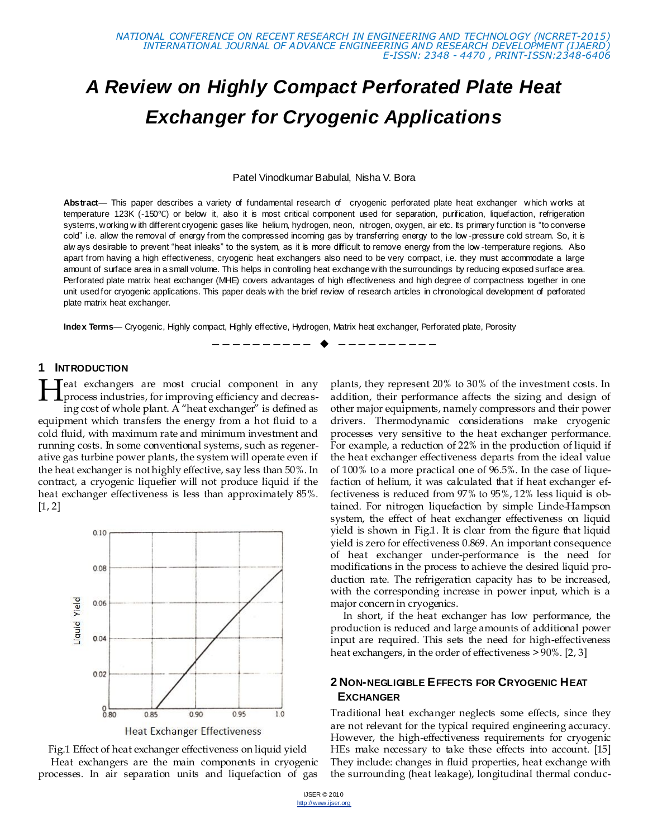# *A Review on Highly Compact Perforated Plate Heat Exchanger for Cryogenic Applications*

Patel Vinodkumar Babulal, Nisha V. Bora

**Abstract**— This paper describes a variety of fundamental research of cryogenic perforated plate heat exchanger which works at temperature 123K (-150℃) or below it, also it is most critical component used for separation, purification, liquefaction, refrigeration systems, working w ith different cryogenic gases like helium, hydrogen, neon, nitrogen, oxygen, air etc. Its primary function is "to converse cold" i.e. allow the removal of energy from the compressed incoming gas by transferring energy to the low -pressure cold stream. So, it is alw ays desirable to prevent "heat inleaks" to the system, as it is more difficult to remove energy from the low -temperature regions. Also apart from having a high effectiveness, cryogenic heat exchangers also need to be very compact, i.e. they must accommodate a large amount of surface area in a small volume. This helps in controlling heat exchange with the surroundings by reducing exposed surface area. Perforated plate matrix heat exchanger (MHE) covers advantages of high effectiveness and high degree of compactness together in one unit used for cryogenic applications. This paper deals with the brief review of research articles in chronological development of perforated plate matrix heat exchanger.

————————— ♦ -----------

**Index Terms**— Cryogenic, Highly compact, Highly effective, Hydrogen, Matrix heat exchanger, Perforated plate, Porosity

#### **1 INTRODUCTION**

eat exchangers are most crucial component in any process industries, for improving efficiency and decreasing cost of whole plant. A "heat exchanger" is defined as equipment which transfers the energy from a hot fluid to a cold fluid, with maximum rate and minimum investment and running costs. In some conventional systems, such as regenerative gas turbine power plants, the system will operate even if the heat exchanger is not highly effective, say less than 50%. In contract, a cryogenic liquefier will not produce liquid if the heat exchanger effectiveness is less than approximately 85%.  $[1, 2]$ H





plants, they represent 20% to 30% of the investment costs. In addition, their performance affects the sizing and design of other major equipments, namely compressors and their power drivers. Thermodynamic considerations make cryogenic processes very sensitive to the heat exchanger performance. For example, a reduction of 22% in the production of liquid if the heat exchanger effectiveness departs from the ideal value of 100% to a more practical one of 96.5%. In the case of liquefaction of helium, it was calculated that if heat exchanger effectiveness is reduced from 97% to 95%, 12% less liquid is obtained. For nitrogen liquefaction by simple Linde-Hampson system, the effect of heat exchanger effectiveness on liquid yield is shown in Fig.1. It is clear from the figure that liquid yield is zero for effectiveness 0.869. An important consequence of heat exchanger under-performance is the need for modifications in the process to achieve the desired liquid production rate. The refrigeration capacity has to be increased, with the corresponding increase in power input, which is a major concern in cryogenics.

In short, if the heat exchanger has low performance, the production is reduced and large amounts of additional power input are required. This sets the need for high-effectiveness heat exchangers, in the order of effectiveness > 90%. [2, 3]

## **2 NON-NEGLIGIBLE EFFECTS FOR CRYOGENIC HEAT EXCHANGER**

Traditional heat exchanger neglects some effects, since they are not relevant for the typical required engineering accuracy. However, the high-effectiveness requirements for cryogenic HEs make necessary to take these effects into account. [15] They include: changes in fluid properties, heat exchange with the surrounding (heat leakage), longitudinal thermal conduc-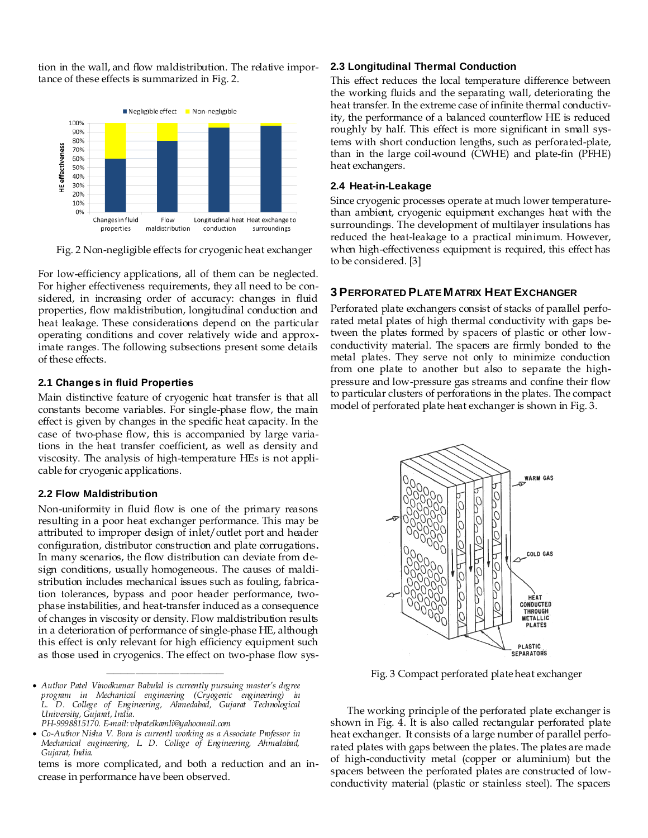tion in the wall, and flow maldistribution. The relative importance of these effects is summarized in Fig. 2.



Fig. 2 Non-negligible effects for cryogenic heat exchanger

For low-efficiency applications, all of them can be neglected. For higher effectiveness requirements, they all need to be considered, in increasing order of accuracy: changes in fluid properties, flow maldistribution, longitudinal conduction and heat leakage. These considerations depend on the particular operating conditions and cover relatively wide and approximate ranges. The following subsections present some details of these effects.

#### **2.1 Changes in fluid Properties**

Main distinctive feature of cryogenic heat transfer is that all constants become variables. For single-phase flow, the main effect is given by changes in the specific heat capacity. In the case of two-phase flow, this is accompanied by large variations in the heat transfer coefficient, as well as density and viscosity. The analysis of high-temperature HEs is not applicable for cryogenic applications.

## **2.2 Flow Maldistribution**

Non-uniformity in fluid flow is one of the primary reasons resulting in a poor heat exchanger performance. This may be attributed to improper design of inlet/outlet port and header configuration, distributor construction and plate corrugations**.** In many scenarios, the flow distribution can deviate from design conditions, usually homogeneous. The causes of maldistribution includes mechanical issues such as fouling, fabrication tolerances, bypass and poor header performance, twophase instabilities, and heat-transfer induced as a consequence of changes in viscosity or density. Flow maldistribution results in a deterioration of performance of single-phase HE, although this effect is only relevant for high efficiency equipment such as those used in cryogenics. The effect on two-phase flow sys-

————————————————

tems is more complicated, and both a reduction and an increase in performance have been observed.

#### **2.3 Longitudinal Thermal Conduction**

This effect reduces the local temperature difference between the working fluids and the separating wall, deteriorating the heat transfer. In the extreme case of infinite thermal conductivity, the performance of a balanced counterflow HE is reduced roughly by half. This effect is more significant in small systems with short conduction lengths, such as perforated-plate, than in the large coil-wound (CWHE) and plate-fin (PFHE) heat exchangers.

#### **2.4 Heat-in-Leakage**

Since cryogenic processes operate at much lower temperaturethan ambient, cryogenic equipment exchanges heat with the surroundings. The development of multilayer insulations has reduced the heat-leakage to a practical minimum. However, when high-effectiveness equipment is required, this effect has to be considered. [3]

# **3 PERFORATED PLATE MATRIX HEAT EXCHANGER**

Perforated plate exchangers consist of stacks of parallel perforated metal plates of high thermal conductivity with gaps between the plates formed by spacers of plastic or other lowconductivity material. The spacers are firmly bonded to the metal plates. They serve not only to minimize conduction from one plate to another but also to separate the highpressure and low-pressure gas streams and confine their flow to particular clusters of perforations in the plates. The compact model of perforated plate heat exchanger is shown in Fig. 3.



Fig. 3 Compact perforated plate heat exchanger

The working principle of the perforated plate exchanger is shown in Fig. 4. It is also called rectangular perforated plate heat exchanger. It consists of a large number of parallel perforated plates with gaps between the plates. The plates are made of high-conductivity metal (copper or aluminium) but the spacers between the perforated plates are constructed of lowconductivity material (plastic or stainless steel). The spacers

*Author Patel Vinodkumar Babulal is currently pursuing master's degree program in Mechanical engineering (Cryogenic engineering) in L. D. College of Engineering, Ahmedabad, Gujarat Technological University, Gujarat, India.*

*PH-9998815170. E-mail: vbpatelkamli@yahoomail.com*

*Co-Author Nisha V. Bora is currentl working as a Associate Professor in Mechanical engineering, L. D. College of Engineering, Ahmedabad, Gujarat, India.*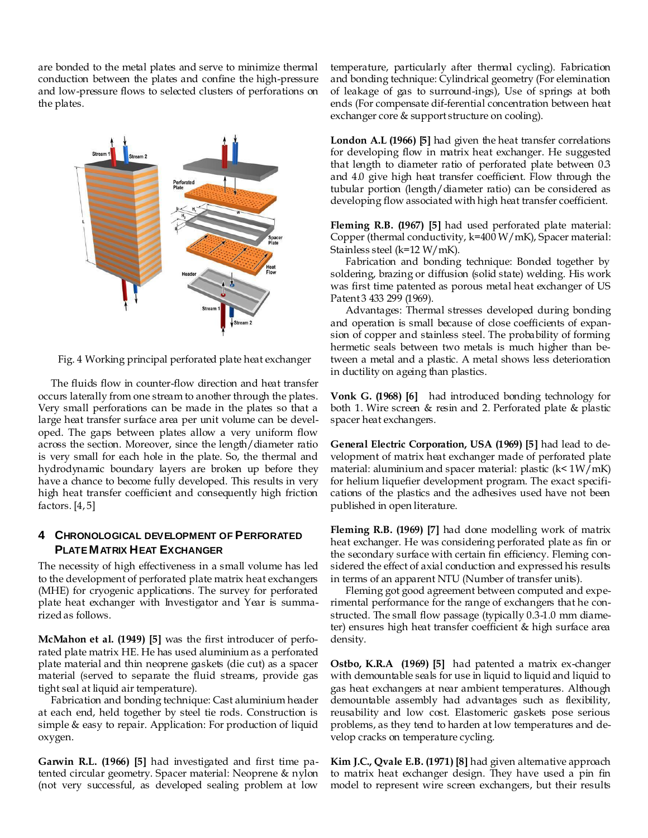are bonded to the metal plates and serve to minimize thermal conduction between the plates and confine the high-pressure and low-pressure flows to selected clusters of perforations on the plates.



Fig. 4 Working principal perforated plate heat exchanger

The fluids flow in counter-flow direction and heat transfer occurs laterally from one stream to another through the plates. Very small perforations can be made in the plates so that a large heat transfer surface area per unit volume can be developed. The gaps between plates allow a very uniform flow across the section. Moreover, since the length/diameter ratio is very small for each hole in the plate. So, the thermal and hydrodynamic boundary layers are broken up before they have a chance to become fully developed. This results in very high heat transfer coefficient and consequently high friction factors. [4, 5]

# **4 CHRONOLOGICAL DEVELOPMENT OF PERFORATED PLATE MATRIX HEAT EXCHANGER**

The necessity of high effectiveness in a small volume has led to the development of perforated plate matrix heat exchangers (MHE) for cryogenic applications. The survey for perforated plate heat exchanger with Investigator and Year is summarized as follows.

**McMahon et al. (1949) [5]** was the first introducer of perforated plate matrix HE. He has used aluminium as a perforated plate material and thin neoprene gaskets (die cut) as a spacer material (served to separate the fluid streams, provide gas tight seal at liquid air temperature).

Fabrication and bonding technique: Cast aluminium header at each end, held together by steel tie rods. Construction is simple & easy to repair. Application: For production of liquid oxygen.

**Garwin R.L. (1966) [5]** had investigated and first time patented circular geometry. Spacer material: Neoprene & nylon (not very successful, as developed sealing problem at low

temperature, particularly after thermal cycling). Fabrication and bonding technique: Cylindrical geometry (For elemination of leakage of gas to surround-ings), Use of springs at both ends (For compensate dif-ferential concentration between heat exchanger core & support structure on cooling).

**London A.L (1966) [5]** had given the heat transfer correlations for developing flow in matrix heat exchanger. He suggested that length to diameter ratio of perforated plate between 0.3 and 4.0 give high heat transfer coefficient. Flow through the tubular portion (length/diameter ratio) can be considered as developing flow associated with high heat transfer coefficient.

**Fleming R.B. (1967) [5]** had used perforated plate material: Copper (thermal conductivity, k=400 W/mK), Spacer material: Stainless steel (k=12 W/mK).

Fabrication and bonding technique: Bonded together by soldering, brazing or diffusion (solid state) welding. His work was first time patented as porous metal heat exchanger of US Patent 3 433 299 (1969).

Advantages: Thermal stresses developed during bonding and operation is small because of close coefficients of expansion of copper and stainless steel. The probability of forming hermetic seals between two metals is much higher than between a metal and a plastic. A metal shows less deterioration in ductility on ageing than plastics.

**Vonk G. (1968) [6]** had introduced bonding technology for both 1. Wire screen & resin and 2. Perforated plate & plastic spacer heat exchangers.

**General Electric Corporation, USA (1969) [5]** had lead to development of matrix heat exchanger made of perforated plate material: aluminium and spacer material: plastic (k< 1W/mK) for helium liquefier development program. The exact specifications of the plastics and the adhesives used have not been published in open literature.

**Fleming R.B. (1969) [7]** had done modelling work of matrix heat exchanger. He was considering perforated plate as fin or the secondary surface with certain fin efficiency. Fleming considered the effect of axial conduction and expressed his results in terms of an apparent NTU (Number of transfer units).

Fleming got good agreement between computed and experimental performance for the range of exchangers that he constructed. The small flow passage (typically 0.3-1.0 mm diameter) ensures high heat transfer coefficient & high surface area density.

**Ostbo, K.R.A (1969) [5]** had patented a matrix ex-changer with demountable seals for use in liquid to liquid and liquid to gas heat exchangers at near ambient temperatures. Although demountable assembly had advantages such as flexibility, reusability and low cost. Elastomeric gaskets pose serious problems, as they tend to harden at low temperatures and develop cracks on temperature cycling.

**Kim J.C., Qvale E.B. (1971) [8]** had given alternative approach to matrix heat exchanger design. They have used a pin fin model to represent wire screen exchangers, but their results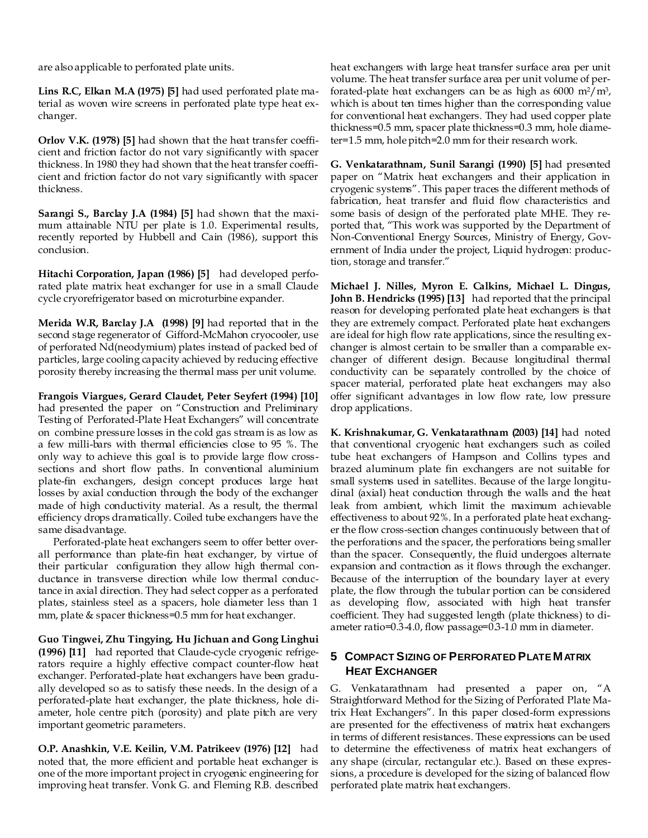are also applicable to perforated plate units.

**Lins R.C, Elkan M.A (1975) [5]** had used perforated plate material as woven wire screens in perforated plate type heat exchanger.

**Orlov V.K. (1978) [5]** had shown that the heat transfer coefficient and friction factor do not vary significantly with spacer thickness. In 1980 they had shown that the heat transfer coefficient and friction factor do not vary significantly with spacer thickness.

**Sarangi S., Barclay J.A (1984) [5]** had shown that the maximum attainable NTU per plate is 1.0. Experimental results, recently reported by Hubbell and Cain (1986), support this conclusion.

**Hitachi Corporation, Japan (1986) [5]** had developed perforated plate matrix heat exchanger for use in a small Claude cycle cryorefrigerator based on microturbine expander.

**Merida W.R, Barclay J.A (1998) [9]** had reported that in the second stage regenerator of Gifford-McMahon cryocooler, use of perforated Nd(neodymium) plates instead of packed bed of particles, large cooling capacity achieved by reducing effective porosity thereby increasing the thermal mass per unit volume.

**Frangois Viargues, Gerard Claudet, Peter Seyfert (1994) [10]** had presented the paper on "Construction and Preliminary Testing of Perforated-Plate Heat Exchangers" will concentrate on combine pressure losses in the cold gas stream is as low as a few milli-bars with thermal efficiencies close to 95 %. The only way to achieve this goal is to provide large flow crosssections and short flow paths. In conventional aluminium plate-fin exchangers, design concept produces large heat losses by axial conduction through the body of the exchanger made of high conductivity material. As a result, the thermal efficiency drops dramatically. Coiled tube exchangers have the same disadvantage.

Perforated-plate heat exchangers seem to offer better overall performance than plate-fin heat exchanger, by virtue of their particular configuration they allow high thermal conductance in transverse direction while low thermal conductance in axial direction. They had select copper as a perforated plates, stainless steel as a spacers, hole diameter less than 1 mm, plate & spacer thickness=0.5 mm for heat exchanger.

**Guo Tingwei, Zhu Tingying, Hu Jichuan and Gong Linghui (1996) [11]** had reported that Claude-cycle cryogenic refrigerators require a highly effective compact counter-flow heat exchanger. Perforated-plate heat exchangers have been gradually developed so as to satisfy these needs. In the design of a perforated-plate heat exchanger, the plate thickness, hole diameter, hole centre pitch (porosity) and plate pitch are very important geometric parameters.

**O.P. Anashkin, V.E. Keilin, V.M. Patrikeev (1976) [12]** had noted that, the more efficient and portable heat exchanger is one of the more important project in cryogenic engineering for improving heat transfer. Vonk G. and Fleming R.B. described heat exchangers with large heat transfer surface area per unit volume. The heat transfer surface area per unit volume of perforated-plate heat exchangers can be as high as  $6000 \text{ m}^2/\text{m}^3$ , which is about ten times higher than the corresponding value for conventional heat exchangers. They had used copper plate thickness=0.5 mm, spacer plate thickness=0.3 mm, hole diameter=1.5 mm, hole pitch=2.0 mm for their research work.

**G. Venkatarathnam, Sunil Sarangi (1990) [5]** had presented paper on "Matrix heat exchangers and their application in cryogenic systems‖. This paper traces the different methods of fabrication, heat transfer and fluid flow characteristics and some basis of design of the perforated plate MHE. They reported that, "This work was supported by the Department of Non-Conventional Energy Sources, Ministry of Energy, Government of India under the project, Liquid hydrogen: production, storage and transfer."

**Michael J. Nilles, Myron E. Calkins, Michael L. Dingus, John B. Hendricks (1995) [13]** had reported that the principal reason for developing perforated plate heat exchangers is that they are extremely compact. Perforated plate heat exchangers are ideal for high flow rate applications, since the resulting exchanger is almost certain to be smaller than a comparable exchanger of different design. Because longitudinal thermal conductivity can be separately controlled by the choice of spacer material, perforated plate heat exchangers may also offer significant advantages in low flow rate, low pressure drop applications.

**K. Krishnakumar, G. Venkatarathnam (2003) [14]** had noted that conventional cryogenic heat exchangers such as coiled tube heat exchangers of Hampson and Collins types and brazed aluminum plate fin exchangers are not suitable for small systems used in satellites. Because of the large longitudinal (axial) heat conduction through the walls and the heat leak from ambient, which limit the maximum achievable effectiveness to about 92%. In a perforated plate heat exchanger the flow cross-section changes continuously between that of the perforations and the spacer, the perforations being smaller than the spacer. Consequently, the fluid undergoes alternate expansion and contraction as it flows through the exchanger. Because of the interruption of the boundary layer at every plate, the flow through the tubular portion can be considered as developing flow, associated with high heat transfer coefficient. They had suggested length (plate thickness) to diameter ratio=0.3-4.0, flow passage=0.3-1.0 mm in diameter.

# **5 COMPACT SIZING OF PERFORATED PLATE MATRIX HEAT EXCHANGER**

G. Venkatarathnam had presented a paper on, "A Straightforward Method for the Sizing of Perforated Plate Matrix Heat Exchangers". In this paper closed-form expressions are presented for the effectiveness of matrix heat exchangers in terms of different resistances. These expressions can be used to determine the effectiveness of matrix heat exchangers of any shape (circular, rectangular etc.). Based on these expressions, a procedure is developed for the sizing of balanced flow perforated plate matrix heat exchangers.